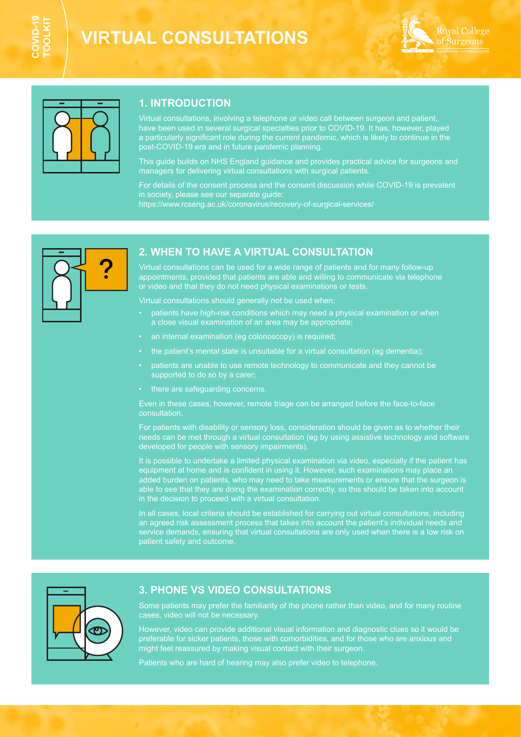# **VIRTUAL CONSULTATIONS**





## **1. INTRODUCTION**

Virtual consultations, involving a telephone or video call between surgeon and patient, have been used in several surgical specialties prior to COVID-19. It has, however, played a particularly significant role during the current pandemic, which is likely to continue in the post-COVID-19 era and in future pandemic planning.

This guide builds on NHS England guidance and provides practical advice for surgeons and managers for delivering virtual consultations with surgical patients.

For details of the consent process and the consent discussion while COVID-19 is prevalent in society, please see our separate guide: [https://www.rcseng.ac.uk/coronavirus/recovery-of-surgical-services/](https://www.rcseng.ac.uk/coronavirus/recovery-of-surgical-services/ ) 



## **2. WHEN TO HAVE A VIRTUAL CONSULTATION**

Virtual consultations can be used for a wide range of patients and for many follow-up appointments, provided that patients are able and willing to communicate via telephone or video and that they do not need physical examinations or tests.

Virtual consultations should generally not be used when:

- patients have high-risk conditions which may need a physical examination or when a close visual examination of an area may be appropriate;
- an internal examination (eg colonoscopy) is required;
- the patient's mental state is unsuitable for a virtual consultation (eg dementia);
- patients are unable to use remote technology to communicate and they cannot be supported to do so by a carer;
- there are safeguarding concerns.

Even in these cases, however, remote triage can be arranged before the face-to-face consultation.

For patients with disability or sensory loss, consideration should be given as to whether their needs can be met through a virtual consultation (eg by using assistive technology and software developed for people with sensory impairments).

It is possible to undertake a limited physical examination via video, especially if the patient has equipment at home and is confident in using it. However, such examinations may place an added burden on patients, who may need to take measurements or ensure that the surgeon is able to see that they are doing the examination correctly, so this should be taken into account in the decision to proceed with a virtual consultation.

In all cases, local criteria should be established for carrying out virtual consultations, including an agreed risk assessment process that takes into account the patient's individual needs and service demands, ensuring that virtual consultations are only used when there is a low risk on patient safety and outcome.



## **3. PHONE VS VIDEO CONSULTATIONS**

Some patients may prefer the familiarity of the phone rather than video, and for many routine

However, video can provide additional visual information and diagnostic clues so it would be preferable for sicker patients, those with comorbidities, and for those who are anxious and might feel reassured by making visual contact with their surgeon.

Patients who are hard of hearing may also prefer video to telephone.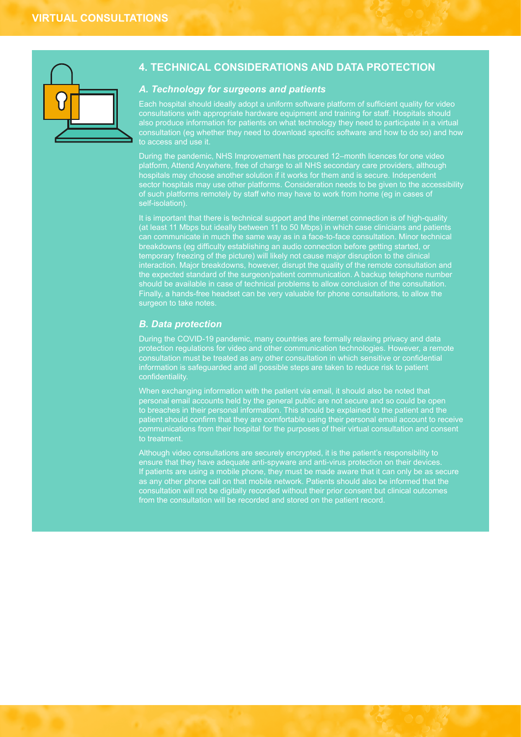

## **4. TECHNICAL CONSIDERATIONS AND DATA PROTECTION**

#### *A. Technology for surgeons and patients*

Each hospital should ideally adopt a uniform software platform of sufficient quality for video consultations with appropriate hardware equipment and training for staff. Hospitals should also produce information for patients on what technology they need to participate in a virtual consultation (eg whether they need to download specific software and how to do so) and how

During the pandemic, NHS Improvement has procured 12–month licences for one video platform, Attend Anywhere, free of charge to all NHS secondary care providers, although hospitals may choose another solution if it works for them and is secure. Independent sector hospitals may use other platforms. Consideration needs to be given to the accessibility of such platforms remotely by staff who may have to work from home (eg in cases of self-isolation).

It is important that there is technical support and the internet connection is of high-quality (at least 11 Mbps but ideally between 11 to 50 Mbps) in which case clinicians and patients breakdowns (eg difficulty establishing an audio connection before getting started, or temporary freezing of the picture) will likely not cause major disruption to the clinical interaction. Major breakdowns, however, disrupt the quality of the remote consultation and the expected standard of the surgeon/patient communication. A backup telephone number should be available in case of technical problems to allow conclusion of the consultation. Finally, a hands-free headset can be very valuable for phone consultations, to allow the surgeon to take notes.

#### *B. Data protection*

During the COVID-19 pandemic, many countries are formally relaxing privacy and data protection regulations for video and other communication technologies. However, a remote consultation must be treated as any other consultation in which sensitive or confidential information is safeguarded and all possible steps are taken to reduce risk to patient confidentiality.

When exchanging information with the patient via email, it should also be noted that personal email accounts held by the general public are not secure and so could be open to breaches in their personal information. This should be explained to the patient and the patient should confirm that they are comfortable using their personal email account to receive communications from their hospital for the purposes of their virtual consultation and consent to treatment.

Although video consultations are securely encrypted, it is the patient's responsibility to If patients are using a mobile phone, they must be made aware that it can only be as secure as any other phone call on that mobile network. Patients should also be informed that the consultation will not be digitally recorded without their prior consent but clinical outcomes from the consultation will be recorded and stored on the patient record.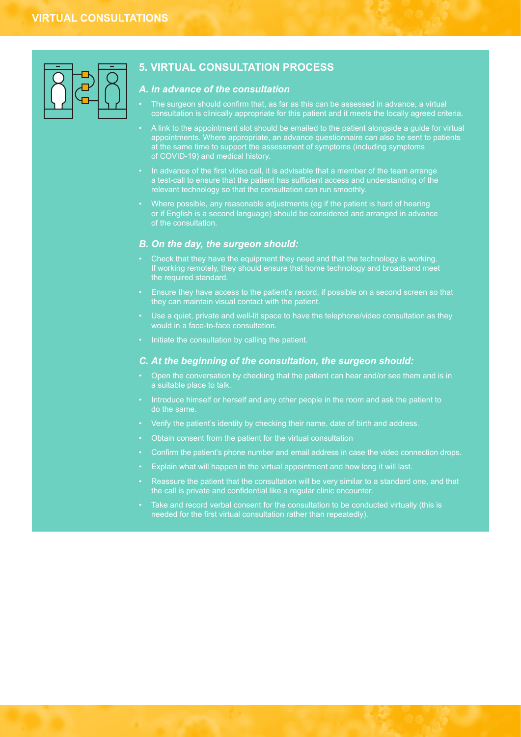

## **5. VIRTUAL CONSULTATION PROCESS**

## *A. In advance of the consultation*

- The surgeon should confirm that, as far as this can be assessed in advance, a virtual consultation is clinically appropriate for this patient and it meets the locally agreed criteria.
- A link to the appointment slot should be emailed to the patient alongside a guide for virtual appointments. Where appropriate, an advance questionnaire can also be sent to patients at the same time to support the assessment of symptoms (including symptoms of COVID-19) and medical history.
- In advance of the first video call, it is advisable that a member of the team arrange a test-call to ensure that the patient has sufficient access and understanding of the relevant technology so that the consultation can run smoothly.
- Where possible, any reasonable adjustments (eg if the patient is hard of hearing or if English is a second language) should be considered and arranged in advance

### *B. On the day, the surgeon should:*

- Check that they have the equipment they need and that the technology is working. If working remotely, they should ensure that home technology and broadband meet the required standard.
- 
- Use a quiet, private and well-lit space to have the telephone/video consultation as they
- Initiate the consultation by calling the patient.

#### *C. At the beginning of the consultation, the surgeon should:*

- Open the conversation by checking that the patient can hear and/or see them and is in a suitable place to talk.
- Introduce himself or herself and any other people in the room and ask the patient to do the same.
- Verify the patient's identity by checking their name, date of birth and address.
- Obtain consent from the patient for the virtual consultation
- Confirm the patient's phone number and email address in case the video connection drops.
- Explain what will happen in the virtual appointment and how long it will last.
- Reassure the patient that the consultation will be very similar to a standard one, and that the call is private and confidential like a regular clinic encounter.
- Take and record verbal consent for the consultation to be conducted virtually (this is needed for the first virtual consultation rather than repeatedly).